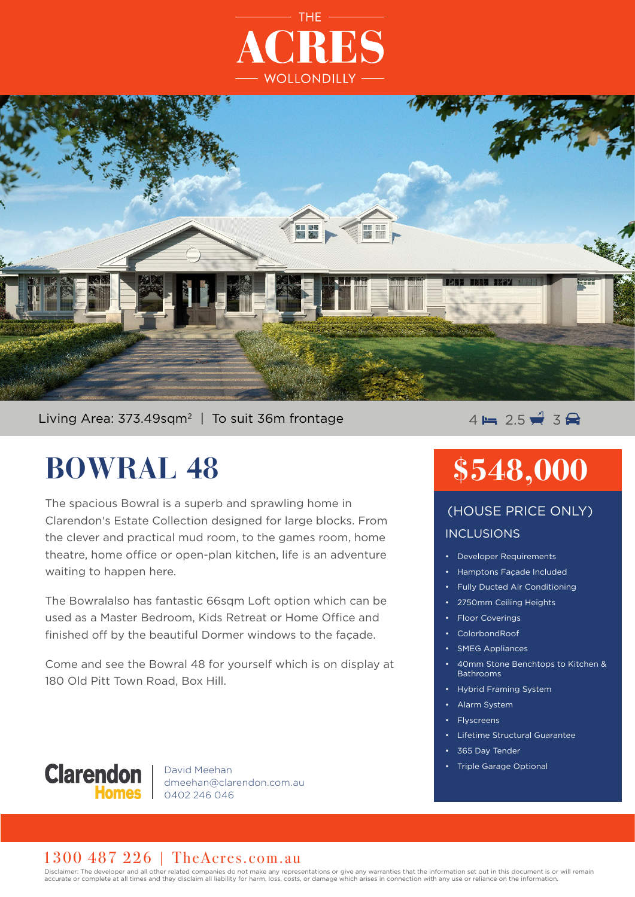



### Living Area: 373.49sqm<sup>2</sup> | To suit 36m frontage  $4 \mapsto 2.5 \div 3$

# **BOWRAL 48**

The spacious Bowral is a superb and sprawling home in Clarendon's Estate Collection designed for large blocks. From the clever and practical mud room, to the games room, home theatre, home office or open-plan kitchen, life is an adventure waiting to happen here.

The Bowralalso has fantastic 66sqm Loft option which can be used as a Master Bedroom, Kids Retreat or Home Office and finished off by the beautiful Dormer windows to the façade.

Come and see the Bowral 48 for yourself which is on display at 180 Old Pitt Town Road, Box Hill.

### **Clarendon**

David Meehan dmeehan@clarendon.com.au 0402 246 046

# **\$548,000**

## INCLUSIONS (HOUSE PRICE ONLY)

- Developer Requirements
- Hamptons Façade Included
- Fully Ducted Air Conditioning
- 2750mm Ceiling Heights
- Floor Coverings
- ColorbondRoof
- **SMEG Appliances**
- 40mm Stone Benchtops to Kitchen & **Bathrooms**
- Hybrid Framing System
- Alarm System
- **Flyscreens**
- Lifetime Structural Guarantee
- 365 Day Tender
- Triple Garage Optional

### 1300 487 226 | TheAcres.com.au

Disclaimer: The developer and all other related companies do not make any representations or give any warranties that the information set out in this document is or will remain accurate or complete at all times and they disclaim all liability for harm, loss, costs, or damage which arises in connection with any use or reliance on the information.